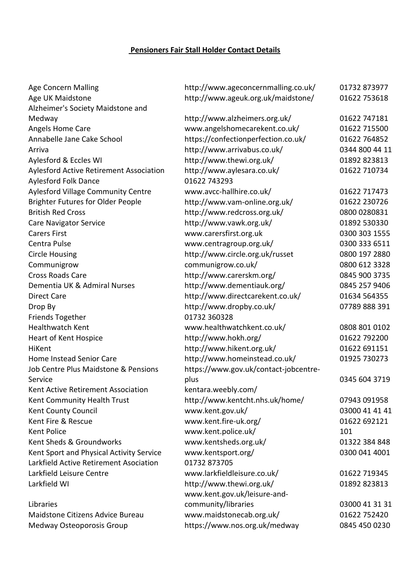## **Pensioners Fair Stall Holder Contact Details**

| <b>Age Concern Malling</b>                     | http://www.ageconcernmalling.co.uk/   | 01732 873977   |
|------------------------------------------------|---------------------------------------|----------------|
| Age UK Maidstone                               | http://www.ageuk.org.uk/maidstone/    | 01622 753618   |
| Alzheimer's Society Maidstone and              |                                       |                |
| Medway                                         | http://www.alzheimers.org.uk/         | 01622 747181   |
| Angels Home Care                               | www.angelshomecarekent.co.uk/         | 01622 715500   |
| Annabelle Jane Cake School                     | https://confectionperfection.co.uk/   | 01622 764852   |
| Arriva                                         | http://www.arrivabus.co.uk/           | 0344 800 44 11 |
| Aylesford & Eccles WI                          | http://www.thewi.org.uk/              | 01892 823813   |
| <b>Aylesford Active Retirement Association</b> | http://www.aylesara.co.uk/            | 01622 710734   |
| Aylesford Folk Dance                           | 01622 743293                          |                |
| <b>Aylesford Village Community Centre</b>      | www.avcc-hallhire.co.uk/              | 01622 717473   |
| <b>Brighter Futures for Older People</b>       | http://www.vam-online.org.uk/         | 01622 230726   |
| <b>British Red Cross</b>                       | http://www.redcross.org.uk/           | 0800 0280831   |
| <b>Care Navigator Service</b>                  | http://www.vawk.org.uk/               | 01892 530330   |
| <b>Carers First</b>                            | www.carersfirst.org.uk                | 0300 303 1555  |
| Centra Pulse                                   | www.centragroup.org.uk/               | 0300 333 6511  |
| <b>Circle Housing</b>                          | http://www.circle.org.uk/russet       | 0800 197 2880  |
| Communigrow                                    | communigrow.co.uk/                    | 0800 612 3328  |
| <b>Cross Roads Care</b>                        | http://www.carerskm.org/              | 0845 900 3735  |
| Dementia UK & Admiral Nurses                   | http://www.dementiauk.org/            | 0845 257 9406  |
| <b>Direct Care</b>                             | http://www.directcarekent.co.uk/      | 01634 564355   |
| Drop By                                        | http://www.dropby.co.uk/              | 07789 888 391  |
| <b>Friends Together</b>                        | 01732 360328                          |                |
| <b>Healthwatch Kent</b>                        | www.healthwatchkent.co.uk/            | 0808 801 0102  |
| Heart of Kent Hospice                          | http://www.hokh.org/                  | 01622 792200   |
| HiKent                                         | http://www.hikent.org.uk/             | 01622 691151   |
| Home Instead Senior Care                       | http://www.homeinstead.co.uk/         | 01925 730273   |
| Job Centre Plus Maidstone & Pensions           | https://www.gov.uk/contact-jobcentre- |                |
| Service                                        | plus                                  | 0345 604 3719  |
| Kent Active Retirement Association             | kentara.weebly.com/                   |                |
| Kent Community Health Trust                    | http://www.kentcht.nhs.uk/home/       | 07943 091958   |
| Kent County Council                            | www.kent.gov.uk/                      | 03000 41 41 41 |
| Kent Fire & Rescue                             | www.kent.fire-uk.org/                 | 01622 692121   |
| <b>Kent Police</b>                             | www.kent.police.uk/                   | 101            |
| Kent Sheds & Groundworks                       | www.kentsheds.org.uk/                 | 01322 384 848  |
| Kent Sport and Physical Activity Service       | www.kentsport.org/                    | 0300 041 4001  |
| Larkfield Active Retirement Asociation         | 01732 873705                          |                |
| Larkfield Leisure Centre                       | www.larkfieldleisure.co.uk/           | 01622 719345   |
| Larkfield WI                                   | http://www.thewi.org.uk/              | 01892 823813   |
|                                                | www.kent.gov.uk/leisure-and-          |                |
| Libraries                                      | community/libraries                   | 03000 41 31 31 |
| Maidstone Citizens Advice Bureau               | www.maidstonecab.org.uk/              | 01622 752420   |
| Medway Osteoporosis Group                      | https://www.nos.org.uk/medway         | 0845 450 0230  |